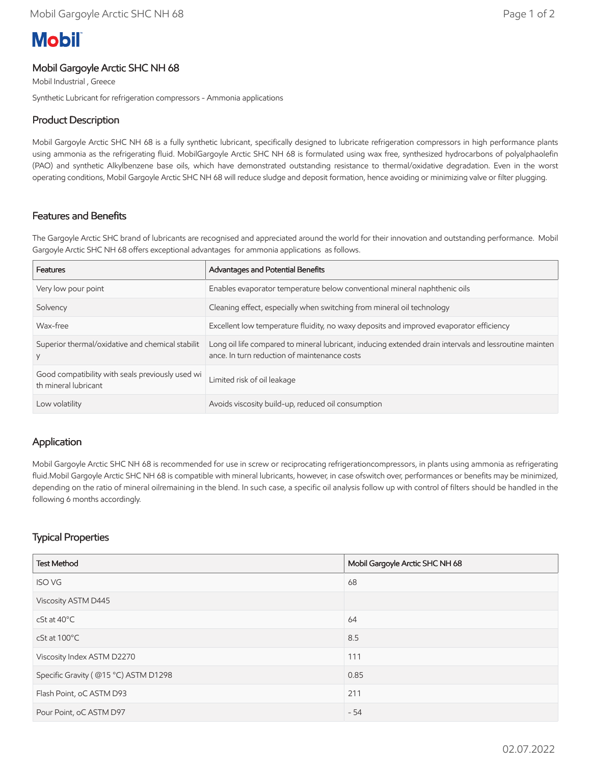# **Mobil**

#### Mobil Gargoyle Arctic SHC NH 68

Mobil Industrial , Greece

Synthetic Lubricant for refrigeration compressors - Ammonia applications

#### Product Description

Mobil Gargoyle Arctic SHC NH 68 is a fully synthetic lubricant, specifically designed to lubricate refrigeration compressors in high performance plants using ammonia as the refrigerating fluid. MobilGargoyle Arctic SHC NH 68 is formulated using wax free, synthesized hydrocarbons of polyalphaolefin (PAO) and synthetic Alkylbenzene base oils, which have demonstrated outstanding resistance to thermal/oxidative degradation. Even in the worst operating conditions, Mobil Gargoyle Arctic SHC NH 68 will reduce sludge and deposit formation, hence avoiding or minimizing valve or filter plugging.

## Features and Benefits

The Gargoyle Arctic SHC brand of lubricants are recognised and appreciated around the world for their innovation and outstanding performance. Mobil Gargoyle Arctic SHC NH 68 offers exceptional advantages for ammonia applications as follows.

| Features                                                                 | Advantages and Potential Benefits                                                                                                                      |  |
|--------------------------------------------------------------------------|--------------------------------------------------------------------------------------------------------------------------------------------------------|--|
| Very low pour point                                                      | Enables evaporator temperature below conventional mineral naphthenic oils                                                                              |  |
| Solvency                                                                 | Cleaning effect, especially when switching from mineral oil technology                                                                                 |  |
| Wax-free                                                                 | Excellent low temperature fluidity, no waxy deposits and improved evaporator efficiency                                                                |  |
| Superior thermal/oxidative and chemical stabilit                         | Long oil life compared to mineral lubricant, inducing extended drain intervals and lessroutine mainten<br>ance. In turn reduction of maintenance costs |  |
| Good compatibility with seals previously used wi<br>th mineral lubricant | Limited risk of oil leakage                                                                                                                            |  |
| Low volatility                                                           | Avoids viscosity build-up, reduced oil consumption                                                                                                     |  |

#### Application

Mobil Gargoyle Arctic SHC NH 68 is recommended for use in screw or reciprocating refrigerationcompressors, in plants using ammonia as refrigerating fluid.Mobil Gargoyle Arctic SHC NH 68 is compatible with mineral lubricants, however, in case ofswitch over, performances or benefits may be minimized, depending on the ratio of mineral oilremaining in the blend. In such case, a specific oil analysis follow up with control of filters should be handled in the following 6 months accordingly.

## Typical Properties

| <b>Test Method</b>                   | Mobil Gargoyle Arctic SHC NH 68 |  |  |
|--------------------------------------|---------------------------------|--|--|
| <b>ISO VG</b>                        | 68                              |  |  |
| Viscosity ASTM D445                  |                                 |  |  |
| $cSt$ at $40^{\circ}$ C              | 64                              |  |  |
| cSt at 100°C                         | 8.5                             |  |  |
| Viscosity Index ASTM D2270           | 111                             |  |  |
| Specific Gravity (@15 °C) ASTM D1298 | 0.85                            |  |  |
| Flash Point, oC ASTM D93             | 211                             |  |  |
| Pour Point, oC ASTM D97              | $-54$                           |  |  |